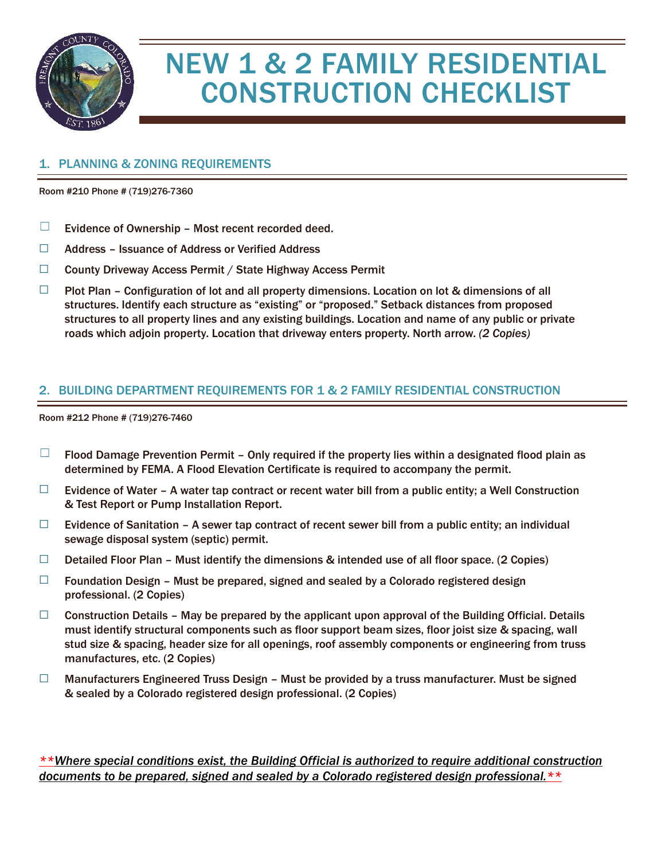

## NEW 1 & 2 FAMILY RESIDENTIAL CONSTRUCTION CHECKLIST

## 1. PLANNING & ZONING REQUIREMENTS

Room #210 Phone # (719)276-7360

- $\Box$  Evidence of Ownership Most recent recorded deed.
- ☐ Address Issuance of Address or Verified Address
- ☐ County Driveway Access Permit / State Highway Access Permit
- $\Box$  Plot Plan Configuration of lot and all property dimensions. Location on lot & dimensions of all structures. Identify each structure as "existing" or "proposed." Setback distances from proposed structures to all property lines and any existing buildings. Location and name of any public or private roads which adjoin property. Location that driveway enters property. North arrow. *(2 Copies)*

## 2. BUILDING DEPARTMENT REQUIREMENTS FOR 1 & 2 FAMILY RESIDENTIAL CONSTRUCTION

Room #212 Phone # (719)276-7460

- $\Box$  Flood Damage Prevention Permit Only required if the property lies within a designated flood plain as determined by FEMA. A Flood Elevation Certificate is required to accompany the permit.
- $\Box$  Evidence of Water A water tap contract or recent water bill from a public entity; a Well Construction & Test Report or Pump Installation Report.
- $\Box$  Evidence of Sanitation A sewer tap contract of recent sewer bill from a public entity; an individual sewage disposal system (septic) permit.
- $\Box$  Detailed Floor Plan Must identify the dimensions & intended use of all floor space. (2 Copies)
- $\Box$  Foundation Design Must be prepared, signed and sealed by a Colorado registered design professional. (2 Copies)
- $\Box$  Construction Details May be prepared by the applicant upon approval of the Building Official. Details must identify structural components such as floor support beam sizes, floor joist size & spacing, wall stud size & spacing, header size for all openings, roof assembly components or engineering from truss manufactures, etc. (2 Copies)
- □ Manufacturers Engineered Truss Design Must be provided by a truss manufacturer. Must be signed & sealed by a Colorado registered design professional. (2 Copies)

*\*\*Where special conditions exist, the Building Official is authorized to require additional construction documents to be prepared, signed and sealed by a Colorado registered design professional.\*\**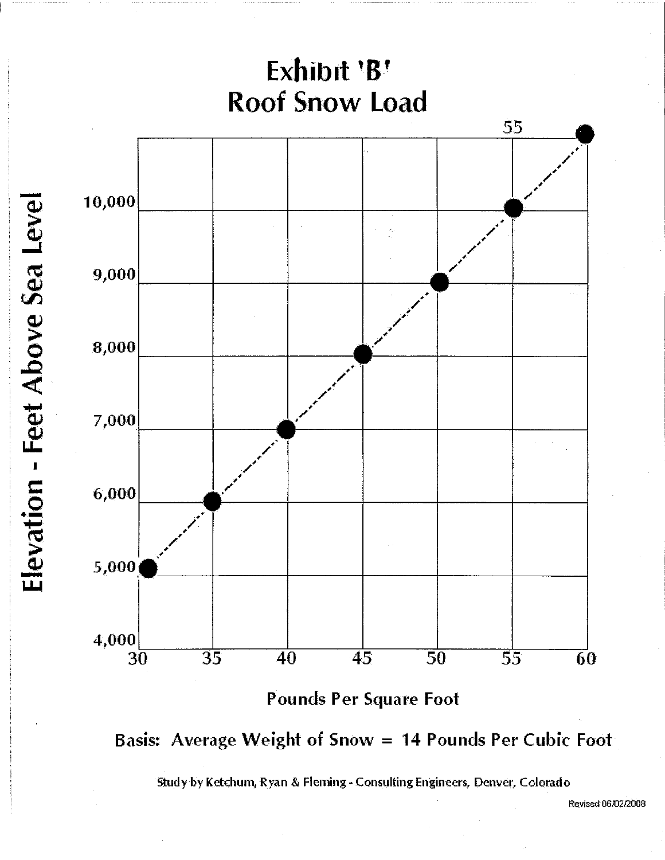



Study by Ketchum, Ryan & Fleming - Consulting Engineers, Denver, Colorado

Revised 06/02/2008